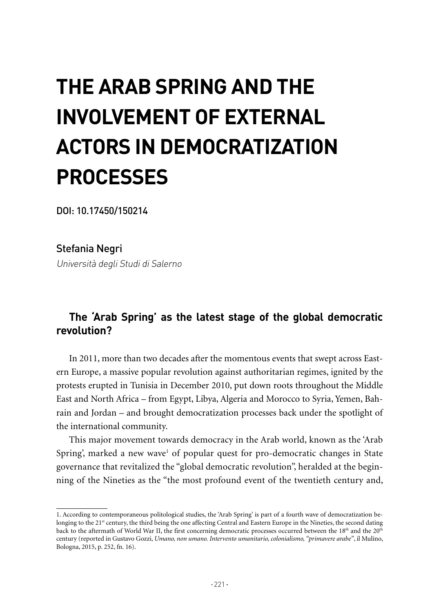# **THE ARAB SPRING AND THE INVOLVEMENT OF EXTERNAL ACTORS IN DEMOCRATIZATION PROCESSES**

DOI: 10.17450/150214

Stefania Negri Università degli Studi di Salerno

## **The 'Arab Spring' as the latest stage of the global democratic revolution?**

In 2011, more than two decades after the momentous events that swept across Eastern Europe, a massive popular revolution against authoritarian regimes, ignited by the protests erupted in Tunisia in December 2010, put down roots throughout the Middle East and North Africa – from Egypt, Libya, Algeria and Morocco to Syria, Yemen, Bahrain and Jordan – and brought democratization processes back under the spotlight of the international community.

This major movement towards democracy in the Arab world, known as the 'Arab Spring', marked a new wave<sup>1</sup> of popular quest for pro-democratic changes in State governance that revitalized the "global democratic revolution", heralded at the beginning of the Nineties as the "the most profound event of the twentieth century and,

<sup>1.</sup> According to contemporaneous politological studies, the 'Arab Spring' is part of a fourth wave of democratization belonging to the 21<sup>st</sup> century, the third being the one affecting Central and Eastern Europe in the Nineties, the second dating back to the aftermath of World War II, the first concerning democratic processes occurred between the 18<sup>th</sup> and the 20<sup>th</sup> century (reported in Gustavo Gozzi, *Umano, non umano. Intervento umanitario, colonialismo, "primavere arabe"*, il Mulino, Bologna, 2015, p. 252, fn. 16).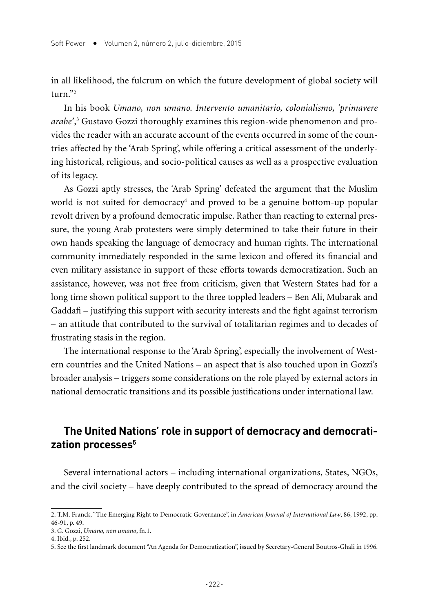in all likelihood, the fulcrum on which the future development of global society will  $turn$ <sup>"2</sup>

In his book *Umano, non umano. Intervento umanitario, colonialismo, 'primavere arabe'*, 3 Gustavo Gozzi thoroughly examines this region-wide phenomenon and provides the reader with an accurate account of the events occurred in some of the countries affected by the 'Arab Spring', while offering a critical assessment of the underlying historical, religious, and socio-political causes as well as a prospective evaluation of its legacy.

As Gozzi aptly stresses, the 'Arab Spring' defeated the argument that the Muslim world is not suited for democracy<sup>4</sup> and proved to be a genuine bottom-up popular revolt driven by a profound democratic impulse. Rather than reacting to external pressure, the young Arab protesters were simply determined to take their future in their own hands speaking the language of democracy and human rights. The international community immediately responded in the same lexicon and offered its financial and even military assistance in support of these efforts towards democratization. Such an assistance, however, was not free from criticism, given that Western States had for a long time shown political support to the three toppled leaders – Ben Ali, Mubarak and Gaddafi – justifying this support with security interests and the fight against terrorism – an attitude that contributed to the survival of totalitarian regimes and to decades of frustrating stasis in the region.

The international response to the 'Arab Spring', especially the involvement of Western countries and the United Nations – an aspect that is also touched upon in Gozzi's broader analysis – triggers some considerations on the role played by external actors in national democratic transitions and its possible justifications under international law.

## **The United Nations' role in support of democracy and democratization processes5**

Several international actors – including international organizations, States, NGOs, and the civil society – have deeply contributed to the spread of democracy around the

<sup>2.</sup> T.M. Franck, "The Emerging Right to Democratic Governance", in *American Journal of International Law*, 86, 1992, pp. 46-91, p. 49.

<sup>3.</sup> G. Gozzi, *Umano, non umano*, fn.1.

<sup>4.</sup> Ibid., p. 252.

<sup>5.</sup> See the first landmark document "An Agenda for Democratization", issued by Secretary-General Boutros-Ghali in 1996.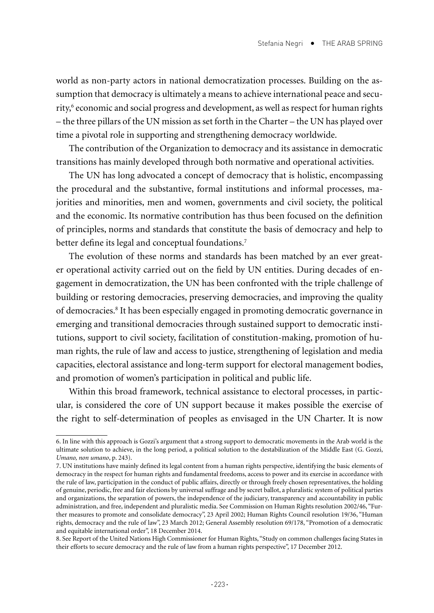world as non-party actors in national democratization processes. Building on the assumption that democracy is ultimately a means to achieve international peace and security,<sup>6</sup> economic and social progress and development, as well as respect for human rights – the three pillars of the UN mission as set forth in the Charter – the UN has played over time a pivotal role in supporting and strengthening democracy worldwide.

The contribution of the Organization to democracy and its assistance in democratic transitions has mainly developed through both normative and operational activities.

The UN has long advocated a concept of democracy that is holistic, encompassing the procedural and the substantive, formal institutions and informal processes, majorities and minorities, men and women, governments and civil society, the political and the economic. Its normative contribution has thus been focused on the definition of principles, norms and standards that constitute the basis of democracy and help to better define its legal and conceptual foundations.<sup>7</sup>

The evolution of these norms and standards has been matched by an ever greater operational activity carried out on the field by UN entities. During decades of engagement in democratization, the UN has been confronted with the triple challenge of building or restoring democracies, preserving democracies, and improving the quality of democracies.8 It has been especially engaged in promoting democratic governance in emerging and transitional democracies through sustained support to democratic institutions, support to civil society, facilitation of constitution-making, promotion of human rights, the rule of law and access to justice, strengthening of legislation and media capacities, electoral assistance and long-term support for electoral management bodies, and promotion of women's participation in political and public life.

Within this broad framework, technical assistance to electoral processes, in particular, is considered the core of UN support because it makes possible the exercise of the right to self-determination of peoples as envisaged in the UN Charter. It is now

<sup>6.</sup> In line with this approach is Gozzi's argument that a strong support to democratic movements in the Arab world is the ultimate solution to achieve, in the long period, a political solution to the destabilization of the Middle East (G. Gozzi, *Umano, non umano*, p. 243).

<sup>7.</sup> UN institutions have mainly defined its legal content from a human rights perspective, identifying the basic elements of democracy in the respect for human rights and fundamental freedoms, access to power and its exercise in accordance with the rule of law, participation in the conduct of public affairs, directly or through freely chosen representatives, the holding of genuine, periodic, free and fair elections by universal suffrage and by secret ballot, a pluralistic system of political parties and organizations, the separation of powers, the independence of the judiciary, transparency and accountability in public administration, and free, independent and pluralistic media. See Commission on Human Rights resolution 2002/46, "Further measures to promote and consolidate democracy", 23 April 2002; Human Rights Council resolution 19/36, "Human rights, democracy and the rule of law", 23 March 2012; General Assembly resolution 69/178, "Promotion of a democratic and equitable international order", 18 December 2014.

<sup>8.</sup> See Report of the United Nations High Commissioner for Human Rights, "Study on common challenges facing States in their efforts to secure democracy and the rule of law from a human rights perspective", 17 December 2012.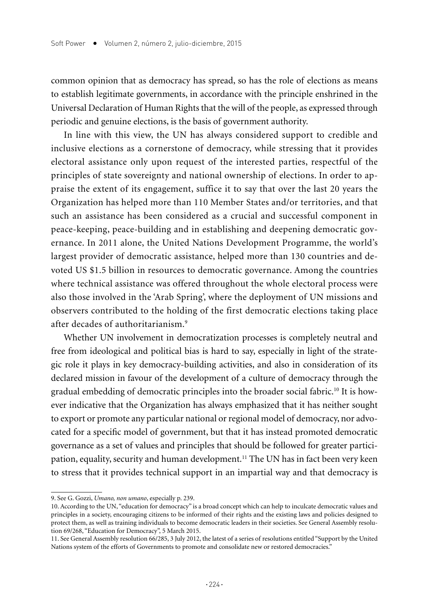common opinion that as democracy has spread, so has the role of elections as means to establish legitimate governments, in accordance with the principle enshrined in the Universal Declaration of Human Rights that the will of the people, as expressed through periodic and genuine elections, is the basis of government authority.

In line with this view, the UN has always considered support to credible and inclusive elections as a cornerstone of democracy, while stressing that it provides electoral assistance only upon request of the interested parties, respectful of the principles of state sovereignty and national ownership of elections. In order to appraise the extent of its engagement, suffice it to say that over the last 20 years the Organization has helped more than 110 Member States and/or territories, and that such an assistance has been considered as a crucial and successful component in peace-keeping, peace-building and in establishing and deepening democratic governance. In 2011 alone, the United Nations Development Programme, the world's largest provider of democratic assistance, helped more than 130 countries and devoted US \$1.5 billion in resources to democratic governance. Among the countries where technical assistance was offered throughout the whole electoral process were also those involved in the 'Arab Spring', where the deployment of UN missions and observers contributed to the holding of the first democratic elections taking place after decades of authoritarianism.9

Whether UN involvement in democratization processes is completely neutral and free from ideological and political bias is hard to say, especially in light of the strategic role it plays in key democracy-building activities, and also in consideration of its declared mission in favour of the development of a culture of democracy through the gradual embedding of democratic principles into the broader social fabric.10 It is however indicative that the Organization has always emphasized that it has neither sought to export or promote any particular national or regional model of democracy, nor advocated for a specific model of government, but that it has instead promoted democratic governance as a set of values and principles that should be followed for greater participation, equality, security and human development.<sup>11</sup> The UN has in fact been very keen to stress that it provides technical support in an impartial way and that democracy is

<sup>9.</sup> See G. Gozzi, *Umano, non umano*, especially p. 239.

<sup>10.</sup> According to the UN, "education for democracy" is a broad concept which can help to inculcate democratic values and principles in a society, encouraging citizens to be informed of their rights and the existing laws and policies designed to protect them, as well as training individuals to become democratic leaders in their societies. See General Assembly resolution 69/268, "Education for Democracy", 5 March 2015.

<sup>11.</sup> See General Assembly resolution 66/285, 3 July 2012, the latest of a series of resolutions entitled "Support by the United Nations system of the efforts of Governments to promote and consolidate new or restored democracies."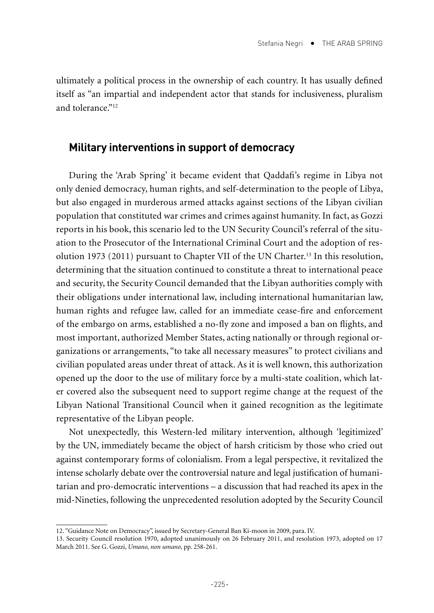ultimately a political process in the ownership of each country. It has usually defined itself as "an impartial and independent actor that stands for inclusiveness, pluralism and tolerance."<sup>12</sup>

### **Military interventions in support of democracy**

During the 'Arab Spring' it became evident that Qaddafi's regime in Libya not only denied democracy, human rights, and self-determination to the people of Libya, but also engaged in murderous armed attacks against sections of the Libyan civilian population that constituted war crimes and crimes against humanity. In fact, as Gozzi reports in his book, this scenario led to the UN Security Council's referral of the situation to the Prosecutor of the International Criminal Court and the adoption of resolution 1973 (2011) pursuant to Chapter VII of the UN Charter.13 In this resolution, determining that the situation continued to constitute a threat to international peace and security, the Security Council demanded that the Libyan authorities comply with their obligations under international law, including international humanitarian law, human rights and refugee law, called for an immediate cease-fire and enforcement of the embargo on arms, established a no-fly zone and imposed a ban on flights, and most important, authorized Member States, acting nationally or through regional organizations or arrangements, "to take all necessary measures" to protect civilians and civilian populated areas under threat of attack. As it is well known, this authorization opened up the door to the use of military force by a multi-state coalition, which later covered also the subsequent need to support regime change at the request of the Libyan National Transitional Council when it gained recognition as the legitimate representative of the Libyan people.

Not unexpectedly, this Western-led military intervention, although 'legitimized' by the UN, immediately became the object of harsh criticism by those who cried out against contemporary forms of colonialism. From a legal perspective, it revitalized the intense scholarly debate over the controversial nature and legal justification of humanitarian and pro-democratic interventions – a discussion that had reached its apex in the mid-Nineties, following the unprecedented resolution adopted by the Security Council

<sup>12. &</sup>quot;Guidance Note on Democracy", issued by Secretary-General Ban Ki-moon in 2009, para. IV.

<sup>13.</sup> Security Council resolution 1970, adopted unanimously on 26 February 2011, and resolution 1973, adopted on 17 March 2011. See G. Gozzi, *Umano, non umano*, pp. 258-261.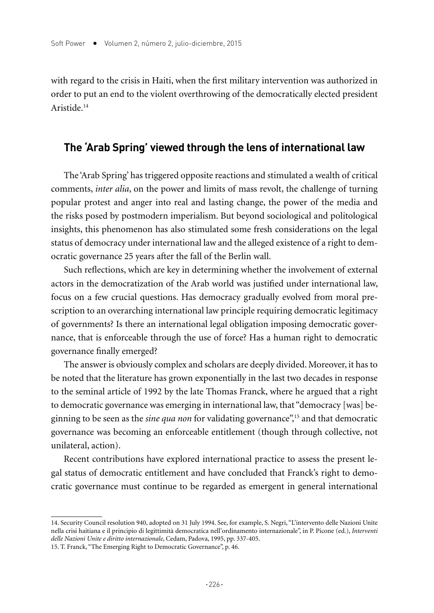with regard to the crisis in Haiti, when the first military intervention was authorized in order to put an end to the violent overthrowing of the democratically elected president Aristide.14

### **The 'Arab Spring' viewed through the lens of international law**

The 'Arab Spring' has triggered opposite reactions and stimulated a wealth of critical comments, *inter alia*, on the power and limits of mass revolt, the challenge of turning popular protest and anger into real and lasting change, the power of the media and the risks posed by postmodern imperialism. But beyond sociological and politological insights, this phenomenon has also stimulated some fresh considerations on the legal status of democracy under international law and the alleged existence of a right to democratic governance 25 years after the fall of the Berlin wall.

Such reflections, which are key in determining whether the involvement of external actors in the democratization of the Arab world was justified under international law, focus on a few crucial questions. Has democracy gradually evolved from moral prescription to an overarching international law principle requiring democratic legitimacy of governments? Is there an international legal obligation imposing democratic governance, that is enforceable through the use of force? Has a human right to democratic governance finally emerged?

The answer is obviously complex and scholars are deeply divided. Moreover, it has to be noted that the literature has grown exponentially in the last two decades in response to the seminal article of 1992 by the late Thomas Franck, where he argued that a right to democratic governance was emerging in international law, that "democracy [was] beginning to be seen as the *sine qua non* for validating governance",15 and that democratic governance was becoming an enforceable entitlement (though through collective, not unilateral, action).

Recent contributions have explored international practice to assess the present legal status of democratic entitlement and have concluded that Franck's right to democratic governance must continue to be regarded as emergent in general international

<sup>14.</sup> Security Council resolution 940, adopted on 31 July 1994. See, for example, S. Negri, "L'intervento delle Nazioni Unite nella crisi haitiana e il principio di legittimità democratica nell'ordinamento internazionale", in P. Picone (ed.), *Interventi delle Nazioni Unite e diritto internazionale*, Cedam, Padova, 1995, pp. 337-405.

<sup>15.</sup> T. Franck, "The Emerging Right to Democratic Governance", p. 46.